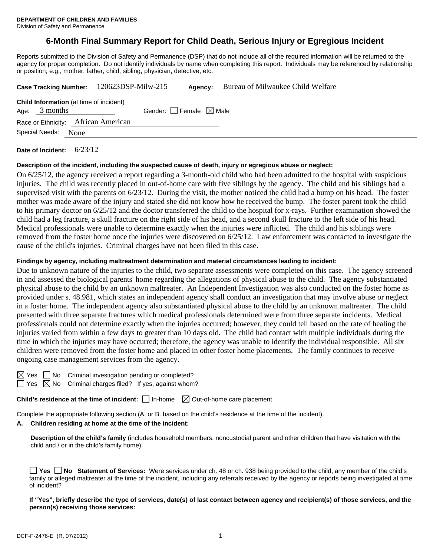# **6-Month Final Summary Report for Child Death, Serious Injury or Egregious Incident**

Reports submitted to the Division of Safety and Permanence (DSP) that do not include all of the required information will be returned to the agency for proper completion. Do not identify individuals by name when completing this report. Individuals may be referenced by relationship or position; e.g., mother, father, child, sibling, physician, detective, etc.

|                |                 | Case Tracking Number: 120623DSP-Milw-215       | Agency:                         | Bureau of Milwaukee Child Welfare |
|----------------|-----------------|------------------------------------------------|---------------------------------|-----------------------------------|
|                | Age: $3$ months | <b>Child Information</b> (at time of incident) | Gender: Female $\boxtimes$ Male |                                   |
|                |                 | Race or Ethnicity: African American            |                                 |                                   |
| Special Needs: |                 | None                                           |                                 |                                   |
|                |                 | $\sim$ $\sim$ $\sim$ $\sim$                    |                                 |                                   |

**Date of Incident:** 6/23/12

#### **Description of the incident, including the suspected cause of death, injury or egregious abuse or neglect:**

On 6/25/12, the agency received a report regarding a 3-month-old child who had been admitted to the hospital with suspicious injuries. The child was recently placed in out-of-home care with five siblings by the agency. The child and his siblings had a supervised visit with the parents on 6/23/12. During the visit, the mother noticed the child had a bump on his head. The foster mother was made aware of the injury and stated she did not know how he received the bump. The foster parent took the child to his primary doctor on 6/25/12 and the doctor transferred the child to the hospital for x-rays. Further examination showed the child had a leg fracture, a skull fracture on the right side of his head, and a second skull fracture to the left side of his head. Medical professionals were unable to determine exactly when the injuries were inflicted. The child and his siblings were removed from the foster home once the injuries were discovered on 6/25/12. Law enforcement was contacted to investigate the cause of the child's injuries. Criminal charges have not been filed in this case.

## **Findings by agency, including maltreatment determination and material circumstances leading to incident:**

Due to unknown nature of the injuries to the child, two separate assessments were completed on this case. The agency screened in and assessed the biological parents' home regarding the allegations of physical abuse to the child. The agency substantiated physical abuse to the child by an unknown maltreater. An Independent Investigation was also conducted on the foster home as provided under s. 48.981, which states an independent agency shall conduct an investigation that may involve abuse or neglect in a foster home. The independent agency also substantiated physical abuse to the child by an unknown maltreater. The child presented with three separate fractures which medical professionals determined were from three separate incidents. Medical professionals could not determine exactly when the injuries occurred; however, they could tell based on the rate of healing the injuries varied from within a few days to greater than 10 days old. The child had contact with multiple individuals during the time in which the injuries may have occurred; therefore, the agency was unable to identify the individual responsible. All six children were removed from the foster home and placed in other foster home placements. The family continues to receive ongoing case management services from the agency.

No Criminal investigation pending or completed? No Criminal charges filed? If yes, against whom?

**Child's residence at the time of incident:**  $\Box$  In-home  $\Box$  Out-of-home care placement

Complete the appropriate following section (A. or B. based on the child's residence at the time of the incident).

#### **A. Children residing at home at the time of the incident:**

**Description of the child's family** (includes household members, noncustodial parent and other children that have visitation with the child and / or in the child's family home):

|              |  |  |  |  |  | ■ Yes ■ No Statement of Services: Were services under ch. 48 or ch. 938 being provided to the child, any member of the child's                 |
|--------------|--|--|--|--|--|------------------------------------------------------------------------------------------------------------------------------------------------|
|              |  |  |  |  |  | family or alleged maltreater at the time of the incident, including any referrals received by the agency or reports being investigated at time |
| of incident? |  |  |  |  |  |                                                                                                                                                |

**If "Yes", briefly describe the type of services, date(s) of last contact between agency and recipient(s) of those services, and the person(s) receiving those services:**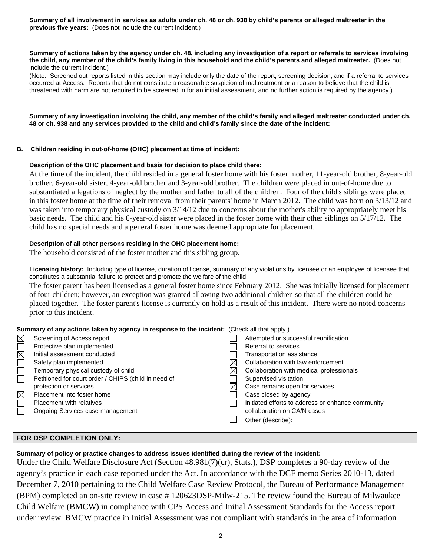**Summary of all involvement in services as adults under ch. 48 or ch. 938 by child's parents or alleged maltreater in the previous five years:** (Does not include the current incident.)

#### **Summary of actions taken by the agency under ch. 48, including any investigation of a report or referrals to services involving the child, any member of the child's family living in this household and the child's parents and alleged maltreater.** (Does not include the current incident.)

(Note: Screened out reports listed in this section may include only the date of the report, screening decision, and if a referral to services occurred at Access. Reports that do not constitute a reasonable suspicion of maltreatment or a reason to believe that the child is threatened with harm are not required to be screened in for an initial assessment, and no further action is required by the agency.)

**Summary of any investigation involving the child, any member of the child's family and alleged maltreater conducted under ch. 48 or ch. 938 and any services provided to the child and child's family since the date of the incident:** 

## **B. Children residing in out-of-home (OHC) placement at time of incident:**

## **Description of the OHC placement and basis for decision to place child there:**

At the time of the incident, the child resided in a general foster home with his foster mother, 11-year-old brother, 8-year-old brother, 6-year-old sister, 4-year-old brother and 3-year-old brother. The children were placed in out-of-home due to substantiated allegations of neglect by the mother and father to all of the children. Four of the child's siblings were placed in this foster home at the time of their removal from their parents' home in March 2012. The child was born on 3/13/12 and was taken into temporary physical custody on  $3/14/12$  due to concerns about the mother's ability to appropriately meet his basic needs. The child and his 6-year-old sister were placed in the foster home with their other siblings on 5/17/12. The child has no special needs and a general foster home was deemed appropriate for placement.

## **Description of all other persons residing in the OHC placement home:**

The household consisted of the foster mother and this sibling group.

**Licensing history:** Including type of license, duration of license, summary of any violations by licensee or an employee of licensee that constitutes a substantial failure to protect and promote the welfare of the child.

The foster parent has been licensed as a general foster home since February 2012. She was initially licensed for placement of four children; however, an exception was granted allowing two additional children so that all the children could be placed together. The foster parent's license is currently on hold as a result of this incident. There were no noted concerns prior to this incident.

#### **Summary of any actions taken by agency in response to the incident:** (Check all that apply.)

| $\boxtimes$            | Screening of Access report                           | Attempted or successful reunification             |
|------------------------|------------------------------------------------------|---------------------------------------------------|
| $\overline{\boxtimes}$ | Protective plan implemented                          | Referral to services                              |
|                        | Initial assessment conducted                         | Transportation assistance                         |
| $\Box$                 | Safety plan implemented                              | Collaboration with law enforcement                |
|                        | Temporary physical custody of child                  | Collaboration with medical professionals          |
|                        | Petitioned for court order / CHIPS (child in need of | Supervised visitation                             |
|                        | protection or services                               | Case remains open for services                    |
| $\boxtimes$            | Placement into foster home                           | Case closed by agency                             |
| $\Box$                 | <b>Placement with relatives</b>                      | Initiated efforts to address or enhance community |
|                        | Ongoing Services case management                     | collaboration on CA/N cases                       |
|                        |                                                      | Other (describe):                                 |
|                        |                                                      |                                                   |

## **FOR DSP COMPLETION ONLY:**

**Summary of policy or practice changes to address issues identified during the review of the incident:** 

Under the Child Welfare Disclosure Act (Section 48.981(7)(cr), Stats.), DSP completes a 90-day review of the agency's practice in each case reported under the Act. In accordance with the DCF memo Series 2010-13, dated December 7, 2010 pertaining to the Child Welfare Case Review Protocol, the Bureau of Performance Management (BPM) completed an on-site review in case # 120623DSP-Milw-215. The review found the Bureau of Milwaukee Child Welfare (BMCW) in compliance with CPS Access and Initial Assessment Standards for the Access report under review. BMCW practice in Initial Assessment was not compliant with standards in the area of information